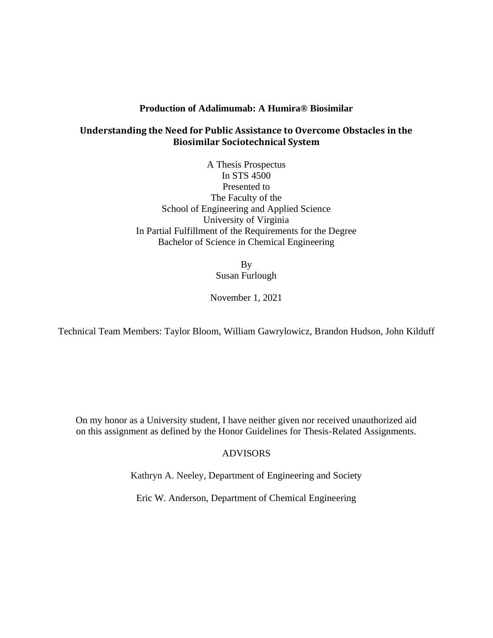## **Production of Adalimumab: A Humira® Biosimilar**

# **Understanding the Need for Public Assistance to Overcome Obstacles in the Biosimilar Sociotechnical System**

A Thesis Prospectus In STS 4500 Presented to The Faculty of the School of Engineering and Applied Science University of Virginia In Partial Fulfillment of the Requirements for the Degree Bachelor of Science in Chemical Engineering

> By Susan Furlough

November 1, 2021

Technical Team Members: Taylor Bloom, William Gawrylowicz, Brandon Hudson, John Kilduff

On my honor as a University student, I have neither given nor received unauthorized aid on this assignment as defined by the Honor Guidelines for Thesis-Related Assignments.

# ADVISORS

Kathryn A. Neeley, Department of Engineering and Society

Eric W. Anderson, Department of Chemical Engineering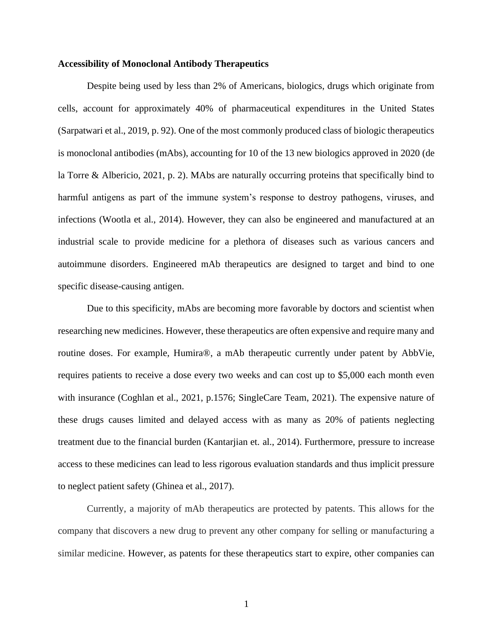### **Accessibility of Monoclonal Antibody Therapeutics**

Despite being used by less than 2% of Americans, biologics, drugs which originate from cells, account for approximately 40% of pharmaceutical expenditures in the United States (Sarpatwari et al., 2019, p. 92). One of the most commonly produced class of biologic therapeutics is monoclonal antibodies (mAbs), accounting for 10 of the 13 new biologics approved in 2020 (de la Torre & Albericio, 2021, p. 2). MAbs are naturally occurring proteins that specifically bind to harmful antigens as part of the immune system's response to destroy pathogens, viruses, and infections (Wootla et al., 2014). However, they can also be engineered and manufactured at an industrial scale to provide medicine for a plethora of diseases such as various cancers and autoimmune disorders. Engineered mAb therapeutics are designed to target and bind to one specific disease-causing antigen.

Due to this specificity, mAbs are becoming more favorable by doctors and scientist when researching new medicines. However, these therapeutics are often expensive and require many and routine doses. For example, Humira®, a mAb therapeutic currently under patent by AbbVie, requires patients to receive a dose every two weeks and can cost up to \$5,000 each month even with insurance (Coghlan et al., 2021, p.1576; SingleCare Team, 2021). The expensive nature of these drugs causes limited and delayed access with as many as 20% of patients neglecting treatment due to the financial burden (Kantarjian et. al., 2014). Furthermore, pressure to increase access to these medicines can lead to less rigorous evaluation standards and thus implicit pressure to neglect patient safety (Ghinea et al., 2017).

Currently, a majority of mAb therapeutics are protected by patents. This allows for the company that discovers a new drug to prevent any other company for selling or manufacturing a similar medicine. However, as patents for these therapeutics start to expire, other companies can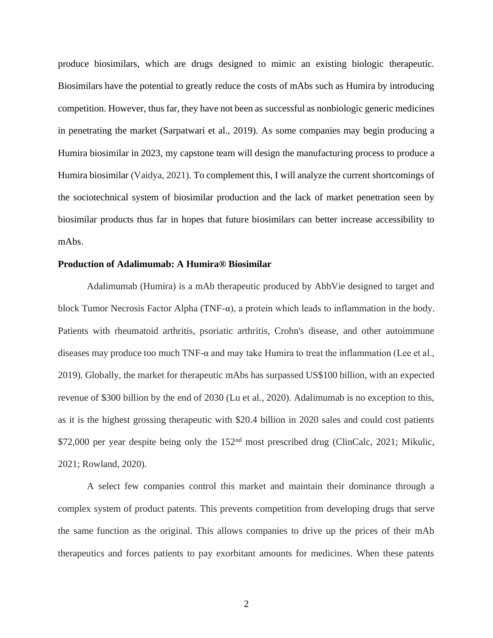produce biosimilars, which are drugs designed to mimic an existing biologic therapeutic. Biosimilars have the potential to greatly reduce the costs of mAbs such as Humira by introducing competition. However, thus far, they have not been as successful as nonbiologic generic medicines in penetrating the market (Sarpatwari et al., 2019). As some companies may begin producing a Humira biosimilar in 2023, my capstone team will design the manufacturing process to produce a Humira biosimilar (Vaidya, 2021). To complement this, I will analyze the current shortcomings of the sociotechnical system of biosimilar production and the lack of market penetration seen by biosimilar products thus far in hopes that future biosimilars can better increase accessibility to mAbs.

#### **Production of Adalimumab: A Humira® Biosimilar**

Adalimumab (Humira) is a mAb therapeutic produced by AbbVie designed to target and block Tumor Necrosis Factor Alpha (TNF- $\alpha$ ), a protein which leads to inflammation in the body. Patients with rheumatoid arthritis, psoriatic arthritis, Crohn's disease, and other autoimmune diseases may produce too much TNF-α and may take Humira to treat the inflammation (Lee et al., 2019). Globally, the market for therapeutic mAbs has surpassed US\$100 billion, with an expected revenue of \$300 billion by the end of 2030 (Lu et al., 2020). Adalimumab is no exception to this, as it is the highest grossing therapeutic with \$20.4 billion in 2020 sales and could cost patients \$72,000 per year despite being only the 152<sup>nd</sup> most prescribed drug (ClinCalc, 2021; Mikulic, 2021; Rowland, 2020).

A select few companies control this market and maintain their dominance through a complex system of product patents. This prevents competition from developing drugs that serve the same function as the original. This allows companies to drive up the prices of their mAb therapeutics and forces patients to pay exorbitant amounts for medicines. When these patents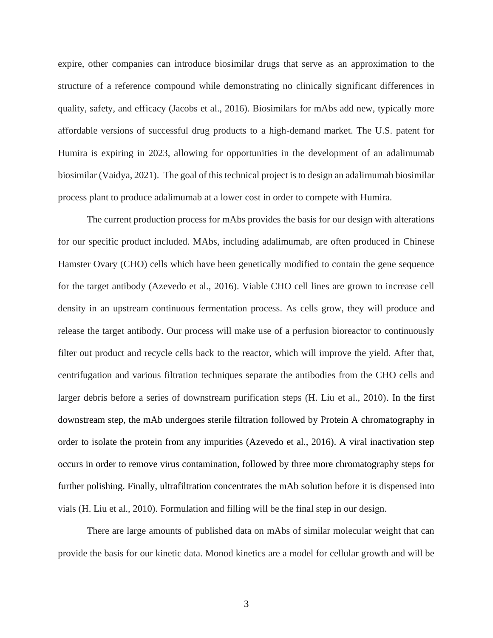expire, other companies can introduce biosimilar drugs that serve as an approximation to the structure of a reference compound while demonstrating no clinically significant differences in quality, safety, and efficacy (Jacobs et al., 2016). Biosimilars for mAbs add new, typically more affordable versions of successful drug products to a high-demand market. The U.S. patent for Humira is expiring in 2023, allowing for opportunities in the development of an adalimumab biosimilar (Vaidya, 2021). The goal of this technical project is to design an adalimumab biosimilar process plant to produce adalimumab at a lower cost in order to compete with Humira.

The current production process for mAbs provides the basis for our design with alterations for our specific product included. MAbs, including adalimumab, are often produced in Chinese Hamster Ovary (CHO) cells which have been genetically modified to contain the gene sequence for the target antibody (Azevedo et al., 2016). Viable CHO cell lines are grown to increase cell density in an upstream continuous fermentation process. As cells grow, they will produce and release the target antibody. Our process will make use of a perfusion bioreactor to continuously filter out product and recycle cells back to the reactor, which will improve the yield. After that, centrifugation and various filtration techniques separate the antibodies from the CHO cells and larger debris before a series of downstream purification steps (H. Liu et al., 2010). In the first downstream step, the mAb undergoes sterile filtration followed by Protein A chromatography in order to isolate the protein from any impurities (Azevedo et al., 2016). A viral inactivation step occurs in order to remove virus contamination, followed by three more chromatography steps for further polishing. Finally, ultrafiltration concentrates the mAb solution before it is dispensed into vials (H. Liu et al., 2010). Formulation and filling will be the final step in our design.

There are large amounts of published data on mAbs of similar molecular weight that can provide the basis for our kinetic data. Monod kinetics are a model for cellular growth and will be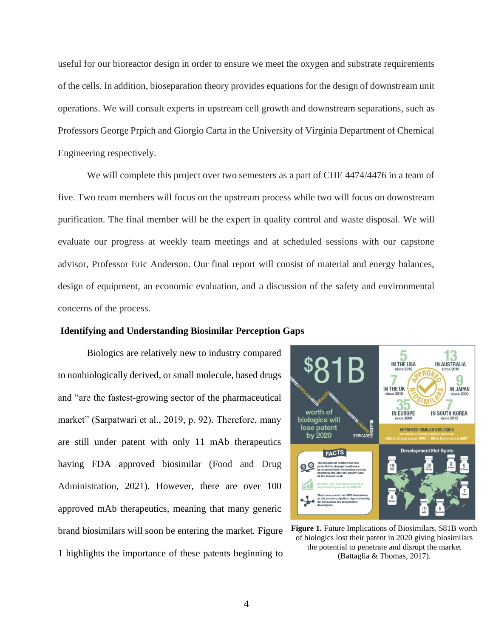useful for our bioreactor design in order to ensure we meet the oxygen and substrate requirements of the cells. In addition, bioseparation theory provides equations for the design of downstream unit operations. We will consult experts in upstream cell growth and downstream separations, such as Professors George Prpich and Giorgio Carta in the University of Virginia Department of Chemical Engineering respectively.

We will complete this project over two semesters as a part of CHE 4474/4476 in a team of five. Two team members will focus on the upstream process while two will focus on downstream purification. The final member will be the expert in quality control and waste disposal. We will evaluate our progress at weekly team meetings and at scheduled sessions with our capstone advisor, Professor Eric Anderson. Our final report will consist of material and energy balances, design of equipment, an economic evaluation, and a discussion of the safety and environmental concerns of the process.

#### **Identifying and Understanding Biosimilar Perception Gaps**

Biologics are relatively new to industry compared to nonbiologically derived, or small molecule, based drugs and "are the fastest-growing sector of the pharmaceutical market" (Sarpatwari et al., 2019, p. 92). Therefore, many are still under patent with only 11 mAb therapeutics having FDA approved biosimilar (Food and Drug Administration, 2021). However, there are over 100 approved mAb therapeutics, meaning that many generic brand biosimilars will soon be entering the market. Figure 1 highlights the importance of these patents beginning to



**Figure 1.** Future Implications of Biosimilars. \$81B worth of biologics lost their patent in 2020 giving biosimilars the potential to penetrate and disrupt the market (Battaglia & Thomas, 2017).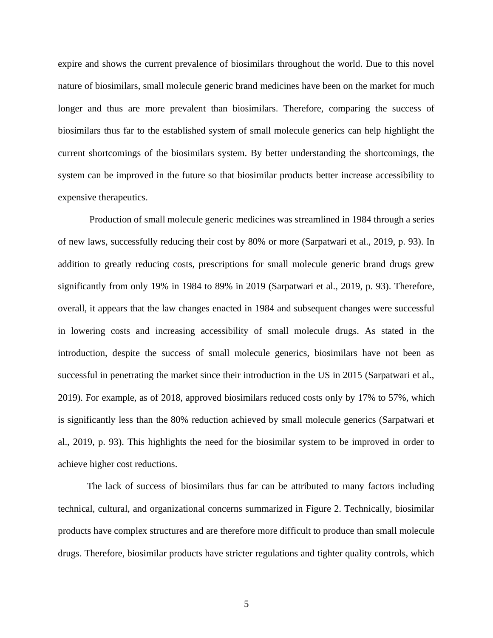expire and shows the current prevalence of biosimilars throughout the world. Due to this novel nature of biosimilars, small molecule generic brand medicines have been on the market for much longer and thus are more prevalent than biosimilars. Therefore, comparing the success of biosimilars thus far to the established system of small molecule generics can help highlight the current shortcomings of the biosimilars system. By better understanding the shortcomings, the system can be improved in the future so that biosimilar products better increase accessibility to expensive therapeutics.

Production of small molecule generic medicines was streamlined in 1984 through a series of new laws, successfully reducing their cost by 80% or more (Sarpatwari et al., 2019, p. 93). In addition to greatly reducing costs, prescriptions for small molecule generic brand drugs grew significantly from only 19% in 1984 to 89% in 2019 (Sarpatwari et al., 2019, p. 93). Therefore, overall, it appears that the law changes enacted in 1984 and subsequent changes were successful in lowering costs and increasing accessibility of small molecule drugs. As stated in the introduction, despite the success of small molecule generics, biosimilars have not been as successful in penetrating the market since their introduction in the US in 2015 (Sarpatwari et al., 2019). For example, as of 2018, approved biosimilars reduced costs only by 17% to 57%, which is significantly less than the 80% reduction achieved by small molecule generics (Sarpatwari et al., 2019, p. 93). This highlights the need for the biosimilar system to be improved in order to achieve higher cost reductions.

The lack of success of biosimilars thus far can be attributed to many factors including technical, cultural, and organizational concerns summarized in Figure 2. Technically, biosimilar products have complex structures and are therefore more difficult to produce than small molecule drugs. Therefore, biosimilar products have stricter regulations and tighter quality controls, which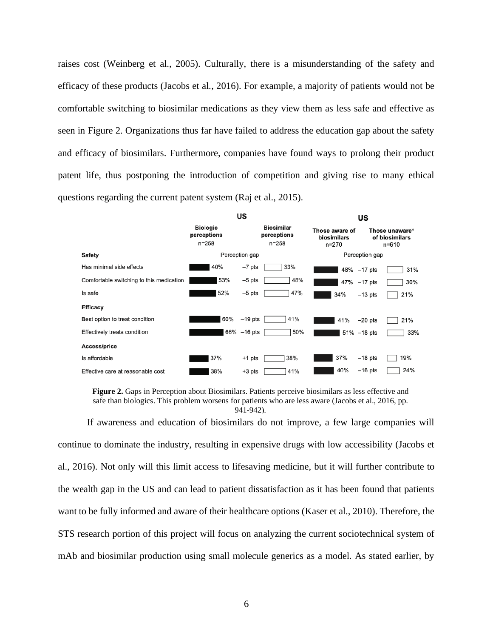raises cost (Weinberg et al., 2005). Culturally, there is a misunderstanding of the safety and efficacy of these products (Jacobs et al., 2016). For example, a majority of patients would not be comfortable switching to biosimilar medications as they view them as less safe and effective as seen in Figure 2. Organizations thus far have failed to address the education gap about the safety and efficacy of biosimilars. Furthermore, companies have found ways to prolong their product patent life, thus postponing the introduction of competition and giving rise to many ethical questions regarding the current patent system (Raj et al., 2015).



**Figure 2.** Gaps in Perception about Biosimilars. Patients perceive biosimilars as less effective and safe than biologics. This problem worsens for patients who are less aware (Jacobs et al., 2016, pp. 941-942).

If awareness and education of biosimilars do not improve, a few large companies will continue to dominate the industry, resulting in expensive drugs with low accessibility (Jacobs et al., 2016). Not only will this limit access to lifesaving medicine, but it will further contribute to the wealth gap in the US and can lead to patient dissatisfaction as it has been found that patients want to be fully informed and aware of their healthcare options (Kaser et al., 2010). Therefore, the STS research portion of this project will focus on analyzing the current sociotechnical system of mAb and biosimilar production using small molecule generics as a model. As stated earlier, by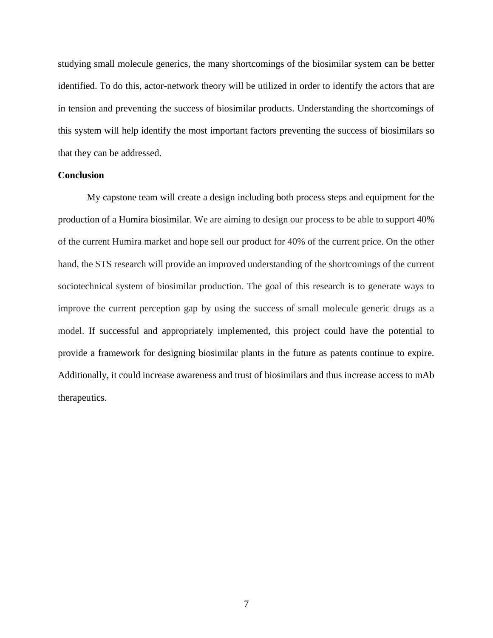studying small molecule generics, the many shortcomings of the biosimilar system can be better identified. To do this, actor-network theory will be utilized in order to identify the actors that are in tension and preventing the success of biosimilar products. Understanding the shortcomings of this system will help identify the most important factors preventing the success of biosimilars so that they can be addressed.

## **Conclusion**

My capstone team will create a design including both process steps and equipment for the production of a Humira biosimilar. We are aiming to design our process to be able to support 40% of the current Humira market and hope sell our product for 40% of the current price. On the other hand, the STS research will provide an improved understanding of the shortcomings of the current sociotechnical system of biosimilar production. The goal of this research is to generate ways to improve the current perception gap by using the success of small molecule generic drugs as a model. If successful and appropriately implemented, this project could have the potential to provide a framework for designing biosimilar plants in the future as patents continue to expire. Additionally, it could increase awareness and trust of biosimilars and thus increase access to mAb therapeutics.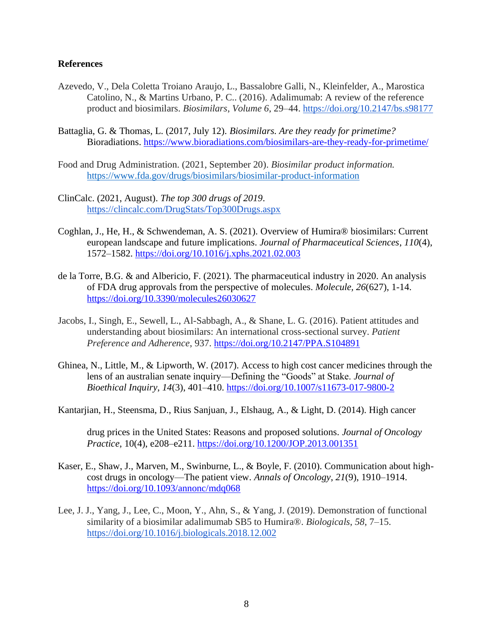### **References**

- Azevedo, V., Dela Coletta Troiano Araujo, L., Bassalobre Galli, N., Kleinfelder, A., Marostica Catolino, N., & Martins Urbano, P. C.. (2016). Adalimumab: A review of the reference product and biosimilars. *Biosimilars*, *Volume 6*, 29–44.<https://doi.org/10.2147/bs.s98177>
- Battaglia, G. & Thomas, L. (2017, July 12). *Biosimilars. Are they ready for primetime?*  Bioradiations.<https://www.bioradiations.com/biosimilars-are-they-ready-for-primetime/>
- Food and Drug Administration. (2021, September 20). *Biosimilar product information.* <https://www.fda.gov/drugs/biosimilars/biosimilar-product-information>
- ClinCalc. (2021, August). *The top 300 drugs of 2019*. <https://clincalc.com/DrugStats/Top300Drugs.aspx>
- Coghlan, J., He, H., & Schwendeman, A. S. (2021). Overview of Humira® biosimilars: Current european landscape and future implications. *Journal of Pharmaceutical Sciences*, *110*(4), 1572–1582.<https://doi.org/10.1016/j.xphs.2021.02.003>
- de la Torre, B.G. & and Albericio, F. (2021). The pharmaceutical industry in 2020. An analysis of FDA drug approvals from the perspective of molecules. *Molecule, 26*(627), 1-14. <https://doi.org/10.3390/molecules26030627>
- Jacobs, I., Singh, E., Sewell, L., Al-Sabbagh, A., & Shane, L. G. (2016). Patient attitudes and understanding about biosimilars: An international cross-sectional survey. *Patient Preference and Adherence*, 937.<https://doi.org/10.2147/PPA.S104891>
- Ghinea, N., Little, M., & Lipworth, W. (2017). Access to high cost cancer medicines through the lens of an australian senate inquiry—Defining the "Goods" at Stake. *Journal of Bioethical Inquiry*, *14*(3), 401–410.<https://doi.org/10.1007/s11673-017-9800-2>
- Kantarjian, H., Steensma, D., Rius Sanjuan, J., Elshaug, A., & Light, D. (2014). High cancer

drug prices in the United States: Reasons and proposed solutions. *Journal of Oncology Practice*, 10(4), e208–e211.<https://doi.org/10.1200/JOP.2013.001351>

- Kaser, E., Shaw, J., Marven, M., Swinburne, L., & Boyle, F. (2010). Communication about highcost drugs in oncology—The patient view. *Annals of Oncology*, *21*(9), 1910–1914. <https://doi.org/10.1093/annonc/mdq068>
- Lee, J. J., Yang, J., Lee, C., Moon, Y., Ahn, S., & Yang, J. (2019). Demonstration of functional similarity of a biosimilar adalimumab SB5 to Humira®. *Biologicals*, *58*, 7–15[.](https://doi.org/10.1016/j.biologicals.2018.12.002) <https://doi.org/10.1016/j.biologicals.2018.12.002>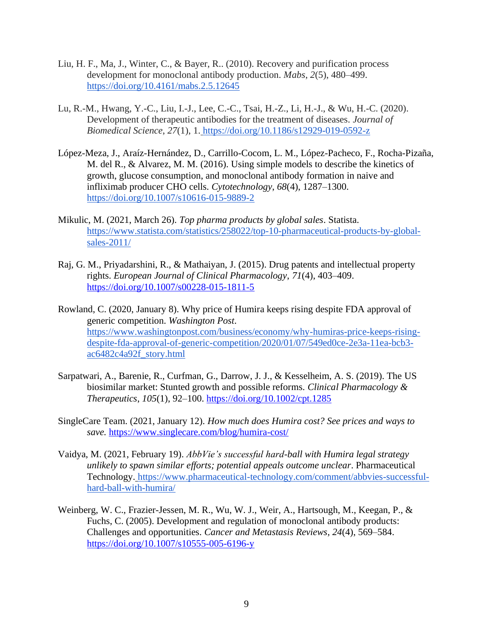- Liu, H. F., Ma, J., Winter, C., & Bayer, R.. (2010). Recovery and purification process development for monoclonal antibody production. *Mabs*, *2*(5), 480–499. <https://doi.org/10.4161/mabs.2.5.12645>
- Lu, R.-M., Hwang, Y.-C., Liu, I.-J., Lee, C.-C., Tsai, H.-Z., Li, H.-J., & Wu, H.-C. (2020). Development of therapeutic antibodies for the treatment of diseases. *Journal of Biomedical Science*, *27*(1), 1. <https://doi.org/10.1186/s12929-019-0592-z>
- López-Meza, J., Araíz-Hernández, D., Carrillo-Cocom, L. M., López-Pacheco, F., Rocha-Pizaña, M. del R., & Alvarez, M. M. (2016). Using simple models to describe the kinetics of growth, glucose consumption, and monoclonal antibody formation in naive and infliximab producer CHO cells. *Cytotechnology*, *68*(4), 1287–1300. <https://doi.org/10.1007/s10616-015-9889-2>
- Mikulic, M. (2021, March 26). *Top pharma products by global sales*. Statista[.](https://www.statista.com/statistics/258022/top-10-pharmaceutical-products-by-global-sales-2011/) [https://www.statista.com/statistics/258022/top-10-pharmaceutical-products-by-global](https://www.statista.com/statistics/258022/top-10-pharmaceutical-products-by-global-sales-2011/)[sales-2011/](https://www.statista.com/statistics/258022/top-10-pharmaceutical-products-by-global-sales-2011/)
- Raj, G. M., Priyadarshini, R., & Mathaiyan, J. (2015). Drug patents and intellectual property rights. *European Journal of Clinical Pharmacology*, *71*(4), 403–409. <https://doi.org/10.1007/s00228-015-1811-5>
- Rowland, C. (2020, January 8). Why price of [Humira keeps rising despite FDA approval of](https://www.washingtonpost.com/business/economy/why-humiras-price-keeps-rising-despite-fda-approval-of-generic-competition/2020/01/07/549ed0ce-2e3a-11ea-bcb3-ac6482c4a92f_story.html)  generic competition. *Washington Post*. [https://www.washingtonpost.com/business/economy/why-humiras-price-keeps-rising](https://www.washingtonpost.com/business/economy/why-humiras-price-keeps-rising-despite-fda-approval-of-generic-competition/2020/01/07/549ed0ce-2e3a-11ea-bcb3-ac6482c4a92f_story.html)[despite-fda-approval-of-generic-competition/2020/01/07/549ed0ce-2e3a-11ea-bcb3](https://www.washingtonpost.com/business/economy/why-humiras-price-keeps-rising-despite-fda-approval-of-generic-competition/2020/01/07/549ed0ce-2e3a-11ea-bcb3-ac6482c4a92f_story.html) [ac6482c4a92f\\_story.html](https://www.washingtonpost.com/business/economy/why-humiras-price-keeps-rising-despite-fda-approval-of-generic-competition/2020/01/07/549ed0ce-2e3a-11ea-bcb3-ac6482c4a92f_story.html)
- Sarpatwari, A., Barenie, R., Curfman, G., Darrow, J. J., & Kesselheim, A. S. (2019). The US biosimilar market: Stunted growth and possible reforms. *Clinical Pharmacology & Therapeutics*, *105*(1), 92–100.<https://doi.org/10.1002/cpt.1285>
- SingleCare Team. (2021, January 12). *How much does Humira cost? See prices and ways to save.* <https://www.singlecare.com/blog/humira-cost/>
- Vaidya, M. (2021, February 19). *AbbVie's successful hard-ball with Humira legal strategy unlikely to spawn similar efforts; potential appeals outcome unclear*. Pharmaceutical Technology. [https://www.pharmaceutical-technology.com/comment/abbvies-successful](https://www.pharmaceutical-technology.com/comment/abbvies-successful-hard-ball-with-humira/)[hard-ball-with-humira/](https://www.pharmaceutical-technology.com/comment/abbvies-successful-hard-ball-with-humira/)
- Weinberg, W. C., Frazier-Jessen, M. R., Wu, W. J., Weir, A., Hartsough, M., Keegan, P., & Fuchs, C. (2005). Development and regulation of monoclonal antibody products: Challenges and opportunities. *Cancer and Metastasis Reviews*, *24*(4), 569–584. <https://doi.org/10.1007/s10555-005-6196-y>